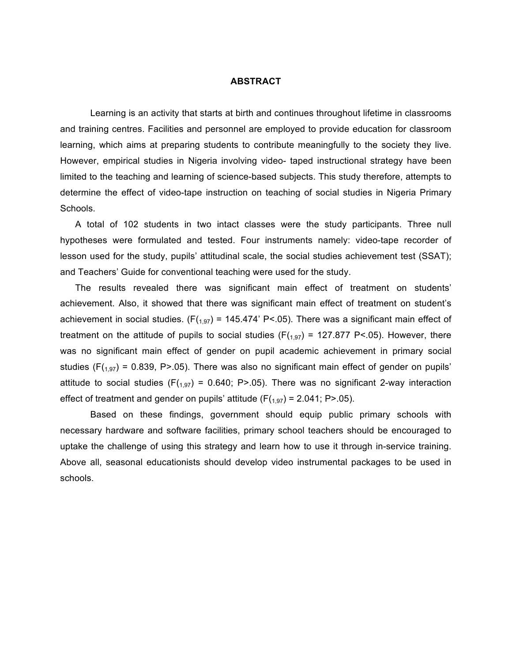#### **ABSTRACT**

Learning is an activity that starts at birth and continues throughout lifetime in classrooms and training centres. Facilities and personnel are employed to provide education for classroom learning, which aims at preparing students to contribute meaningfully to the society they live. However, empirical studies in Nigeria involving video- taped instructional strategy have been limited to the teaching and learning of science-based subjects. This study therefore, attempts to determine the effect of video-tape instruction on teaching of social studies in Nigeria Primary Schools.

A total of 102 students in two intact classes were the study participants. Three null hypotheses were formulated and tested. Four instruments namely: video-tape recorder of lesson used for the study, pupils' attitudinal scale, the social studies achievement test (SSAT); and Teachers' Guide for conventional teaching were used for the study.

The results revealed there was significant main effect of treatment on students' achievement. Also, it showed that there was significant main effect of treatment on student's achievement in social studies. ( $F(1,97) = 145.474$  P<.05). There was a significant main effect of treatment on the attitude of pupils to social studies ( $F(1,97)$  = 127.877 P<.05). However, there was no significant main effect of gender on pupil academic achievement in primary social studies ( $F(1,97)$  = 0.839, P>.05). There was also no significant main effect of gender on pupils' attitude to social studies ( $F(1,97) = 0.640$ ; P>.05). There was no significant 2-way interaction effect of treatment and gender on pupils' attitude  $(F(1,97) = 2.041; P > .05)$ .

Based on these findings, government should equip public primary schools with necessary hardware and software facilities, primary school teachers should be encouraged to uptake the challenge of using this strategy and learn how to use it through in-service training. Above all, seasonal educationists should develop video instrumental packages to be used in schools.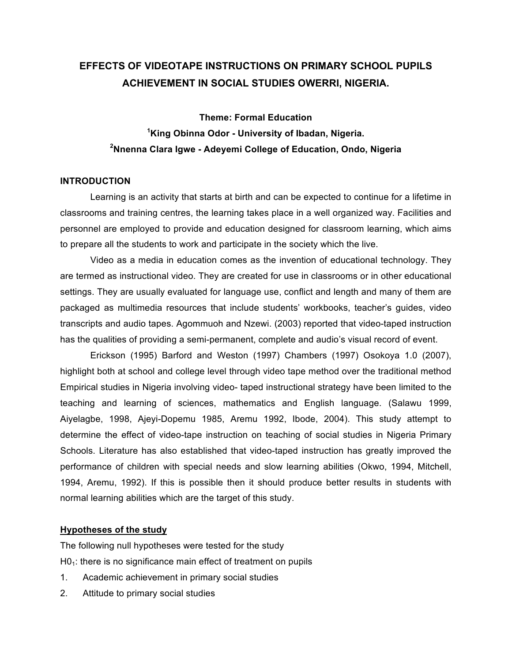# **EFFECTS OF VIDEOTAPE INSTRUCTIONS ON PRIMARY SCHOOL PUPILS ACHIEVEMENT IN SOCIAL STUDIES OWERRI, NIGERIA.**

**Theme: Formal Education 1 King Obinna Odor - University of Ibadan, Nigeria. 2 Nnenna Clara Igwe - Adeyemi College of Education, Ondo, Nigeria**

#### **INTRODUCTION**

Learning is an activity that starts at birth and can be expected to continue for a lifetime in classrooms and training centres, the learning takes place in a well organized way. Facilities and personnel are employed to provide and education designed for classroom learning, which aims to prepare all the students to work and participate in the society which the live.

Video as a media in education comes as the invention of educational technology. They are termed as instructional video. They are created for use in classrooms or in other educational settings. They are usually evaluated for language use, conflict and length and many of them are packaged as multimedia resources that include students' workbooks, teacher's guides, video transcripts and audio tapes. Agommuoh and Nzewi. (2003) reported that video-taped instruction has the qualities of providing a semi-permanent, complete and audio's visual record of event.

Erickson (1995) Barford and Weston (1997) Chambers (1997) Osokoya 1.0 (2007), highlight both at school and college level through video tape method over the traditional method Empirical studies in Nigeria involving video- taped instructional strategy have been limited to the teaching and learning of sciences, mathematics and English language. (Salawu 1999, Aiyelagbe, 1998, Ajeyi-Dopemu 1985, Aremu 1992, Ibode, 2004). This study attempt to determine the effect of video-tape instruction on teaching of social studies in Nigeria Primary Schools. Literature has also established that video-taped instruction has greatly improved the performance of children with special needs and slow learning abilities (Okwo, 1994, Mitchell, 1994, Aremu, 1992). If this is possible then it should produce better results in students with normal learning abilities which are the target of this study.

#### **Hypotheses of the study**

The following null hypotheses were tested for the study  $H0<sub>1</sub>$ : there is no significance main effect of treatment on pupils

- 1. Academic achievement in primary social studies
- 2. Attitude to primary social studies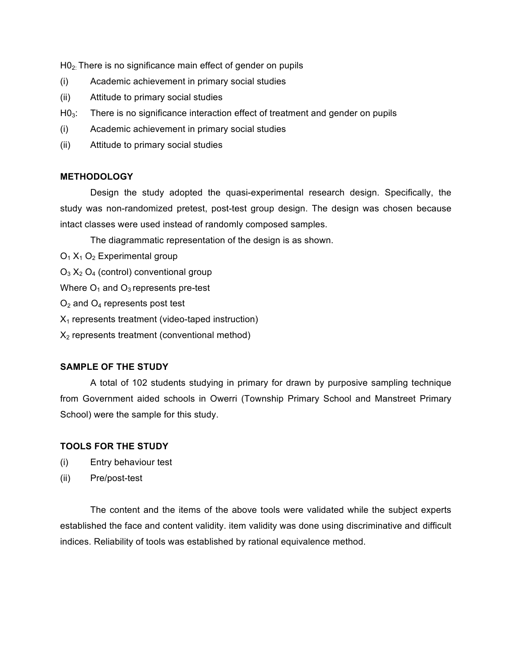H02: There is no significance main effect of gender on pupils

- (i) Academic achievement in primary social studies
- (ii) Attitude to primary social studies
- H0<sub>3</sub>: There is no significance interaction effect of treatment and gender on pupils
- (i) Academic achievement in primary social studies
- (ii) Attitude to primary social studies

## **METHODOLOGY**

Design the study adopted the quasi-experimental research design. Specifically, the study was non-randomized pretest, post-test group design. The design was chosen because intact classes were used instead of randomly composed samples.

The diagrammatic representation of the design is as shown.

- $O_1$   $X_1$   $O_2$  Experimental group
- $O_3$   $X_2$   $O_4$  (control) conventional group
- Where  $O_1$  and  $O_3$  represents pre-test
- $O<sub>2</sub>$  and  $O<sub>4</sub>$  represents post test
- $X_1$  represents treatment (video-taped instruction)
- $X<sub>2</sub>$  represents treatment (conventional method)

# **SAMPLE OF THE STUDY**

A total of 102 students studying in primary for drawn by purposive sampling technique from Government aided schools in Owerri (Township Primary School and Manstreet Primary School) were the sample for this study.

## **TOOLS FOR THE STUDY**

- (i) Entry behaviour test
- (ii) Pre/post-test

The content and the items of the above tools were validated while the subject experts established the face and content validity. item validity was done using discriminative and difficult indices. Reliability of tools was established by rational equivalence method.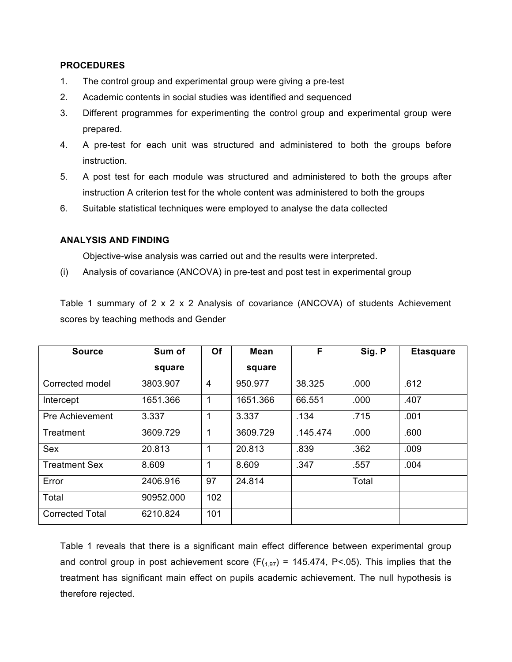#### **PROCEDURES**

- 1. The control group and experimental group were giving a pre-test
- 2. Academic contents in social studies was identified and sequenced
- 3. Different programmes for experimenting the control group and experimental group were prepared.
- 4. A pre-test for each unit was structured and administered to both the groups before instruction.
- 5. A post test for each module was structured and administered to both the groups after instruction A criterion test for the whole content was administered to both the groups
- 6. Suitable statistical techniques were employed to analyse the data collected

#### **ANALYSIS AND FINDING**

Objective-wise analysis was carried out and the results were interpreted.

(i) Analysis of covariance (ANCOVA) in pre-test and post test in experimental group

Table 1 summary of 2 x 2 x 2 Analysis of covariance (ANCOVA) of students Achievement scores by teaching methods and Gender

| <b>Source</b>          | Sum of    | Of             | <b>Mean</b> | F        | Sig. P | <b>Etasquare</b> |
|------------------------|-----------|----------------|-------------|----------|--------|------------------|
|                        | square    |                | square      |          |        |                  |
| Corrected model        | 3803.907  | $\overline{4}$ | 950.977     | 38.325   | .000   | .612             |
| Intercept              | 1651.366  | 1              | 1651.366    | 66.551   | .000   | .407             |
| <b>Pre Achievement</b> | 3.337     |                | 3.337       | .134     | .715   | .001             |
| Treatment              | 3609.729  | 1              | 3609.729    | .145.474 | .000   | .600             |
| <b>Sex</b>             | 20.813    | 1              | 20.813      | .839     | .362   | .009             |
| <b>Treatment Sex</b>   | 8.609     | 1              | 8.609       | .347     | .557   | .004             |
| Error                  | 2406.916  | 97             | 24.814      |          | Total  |                  |
| Total                  | 90952.000 | 102            |             |          |        |                  |
| <b>Corrected Total</b> | 6210.824  | 101            |             |          |        |                  |

Table 1 reveals that there is a significant main effect difference between experimental group and control group in post achievement score ( $F(1,97)$  = 145.474, P<.05). This implies that the treatment has significant main effect on pupils academic achievement. The null hypothesis is therefore rejected.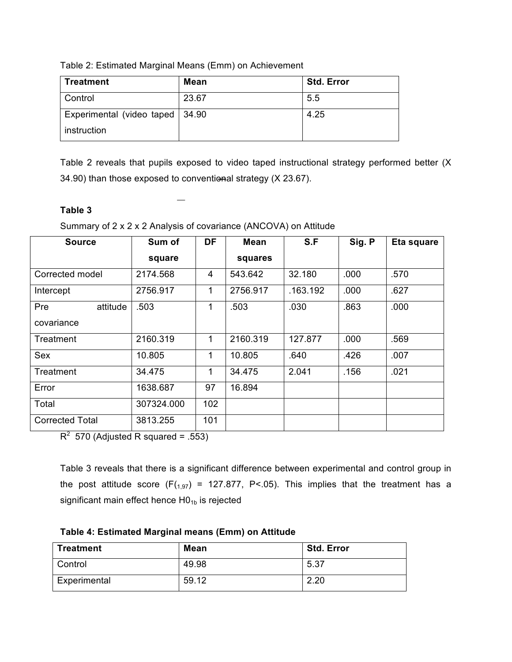Table 2: Estimated Marginal Means (Emm) on Achievement

| Treatment                         | <b>Mean</b> | <b>Std. Error</b> |
|-----------------------------------|-------------|-------------------|
| <b>Control</b>                    | 23.67       | 5.5               |
| Experimental (video taped   34.90 |             | 4.25              |
| instruction                       |             |                   |

Table 2 reveals that pupils exposed to video taped instructional strategy performed better (X 34.90) than those exposed to conventional strategy (X 23.67).

# **Table 3**

Summary of 2 x 2 x 2 Analysis of covariance (ANCOVA) on Attitude

| <b>Source</b>          | Sum of     | <b>DF</b> | <b>Mean</b> | S.F      | Sig. P | Eta square |
|------------------------|------------|-----------|-------------|----------|--------|------------|
|                        | square     |           | squares     |          |        |            |
| Corrected model        | 2174.568   | 4         | 543.642     | 32.180   | .000   | .570       |
| Intercept              | 2756.917   | 1         | 2756.917    | .163.192 | .000   | .627       |
| Pre<br>attitude        | .503       | 1         | .503        | .030     | .863   | .000       |
| covariance             |            |           |             |          |        |            |
| Treatment              | 2160.319   | 1         | 2160.319    | 127.877  | .000   | .569       |
| Sex                    | 10.805     | 1         | 10.805      | .640     | .426   | .007       |
| Treatment              | 34.475     | 1         | 34.475      | 2.041    | .156   | .021       |
| Error                  | 1638.687   | 97        | 16.894      |          |        |            |
| Total                  | 307324.000 | 102       |             |          |        |            |
| <b>Corrected Total</b> | 3813.255   | 101       |             |          |        |            |

 $R^2$  570 (Adjusted R squared = .553)

Table 3 reveals that there is a significant difference between experimental and control group in the post attitude score  $(F(1,97) = 127.877, P<.05)$ . This implies that the treatment has a significant main effect hence  $HO_{1b}$  is rejected

**Table 4: Estimated Marginal means (Emm) on Attitude**

| <b>Treatment</b> | <b>Mean</b> | <b>Std. Error</b> |
|------------------|-------------|-------------------|
| Control          | 49.98       | 5.37              |
| Experimental     | 59.12       | 2.20              |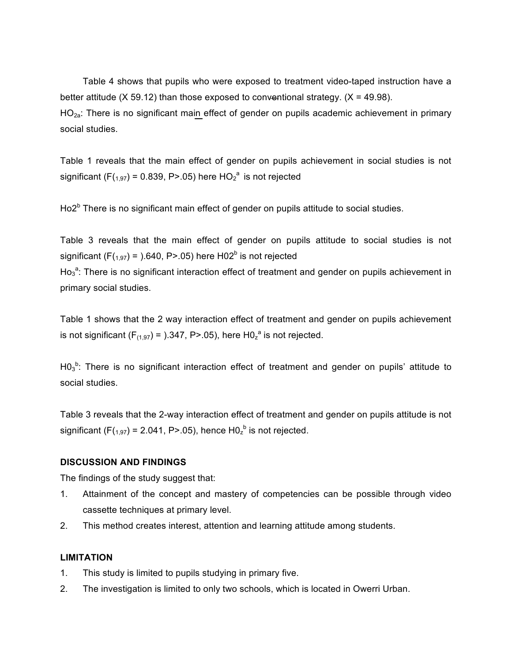Table 4 shows that pupils who were exposed to treatment video-taped instruction have a better attitude (X 59.12) than those exposed to conventional strategy.  $(X = 49.98)$ . HO<sub>2a</sub>: There is no significant main effect of gender on pupils academic achievement in primary social studies.

Table 1 reveals that the main effect of gender on pupils achievement in social studies is not significant (F(<sub>1,97</sub>) = 0.839, P>.05) here  $HO_2^{\ a}$  is not rejected

Ho2<sup>b</sup> There is no significant main effect of gender on pupils attitude to social studies.

Table 3 reveals that the main effect of gender on pupils attitude to social studies is not significant (F( $_{1,97}$ ) = ).640, P>.05) here H02<sup>b</sup> is not rejected

 $Ho<sub>3</sub><sup>a</sup>$ : There is no significant interaction effect of treatment and gender on pupils achievement in primary social studies.

Table 1 shows that the 2 way interaction effect of treatment and gender on pupils achievement is not significant (F<sub>(1,97</sub>) = ).347, P>.05), here H0<sub>z</sub><sup>a</sup> is not rejected.

H0 $_3$ <sup>b</sup>: There is no significant interaction effect of treatment and gender on pupils' attitude to social studies.

Table 3 reveals that the 2-way interaction effect of treatment and gender on pupils attitude is not significant (F(<sub>1,97</sub>) = 2.041, P>.05), hence H0<sub>z</sub><sup>b</sup> is not rejected.

#### **DISCUSSION AND FINDINGS**

The findings of the study suggest that:

- 1. Attainment of the concept and mastery of competencies can be possible through video cassette techniques at primary level.
- 2. This method creates interest, attention and learning attitude among students.

#### **LIMITATION**

- 1. This study is limited to pupils studying in primary five.
- 2. The investigation is limited to only two schools, which is located in Owerri Urban.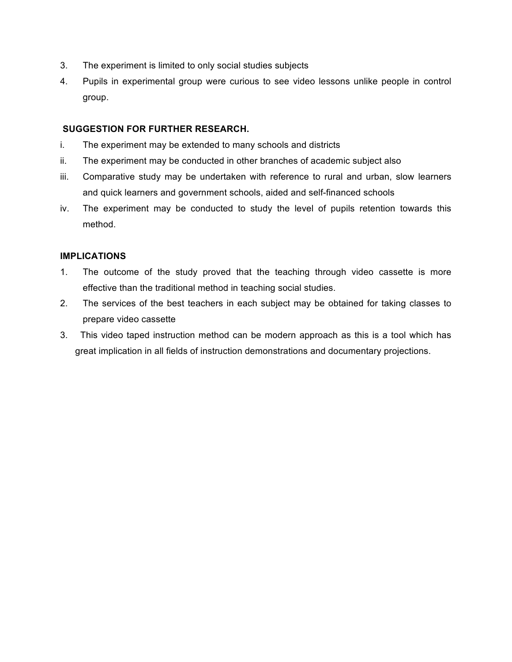- 3. The experiment is limited to only social studies subjects
- 4. Pupils in experimental group were curious to see video lessons unlike people in control group.

## **SUGGESTION FOR FURTHER RESEARCH.**

- i. The experiment may be extended to many schools and districts
- ii. The experiment may be conducted in other branches of academic subject also
- iii. Comparative study may be undertaken with reference to rural and urban, slow learners and quick learners and government schools, aided and self-financed schools
- iv. The experiment may be conducted to study the level of pupils retention towards this method.

## **IMPLICATIONS**

- 1. The outcome of the study proved that the teaching through video cassette is more effective than the traditional method in teaching social studies.
- 2. The services of the best teachers in each subject may be obtained for taking classes to prepare video cassette
- 3. This video taped instruction method can be modern approach as this is a tool which has great implication in all fields of instruction demonstrations and documentary projections.